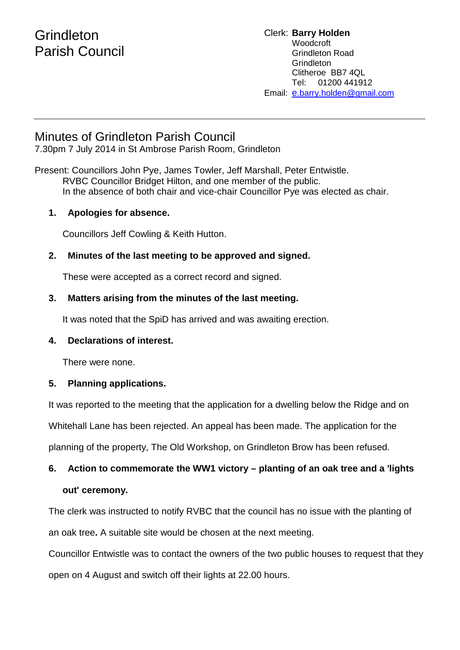### **Grindleton** Parish Council

### Minutes of Grindleton Parish Council

7.30pm 7 July 2014 in St Ambrose Parish Room, Grindleton

Present: Councillors John Pye, James Towler, Jeff Marshall, Peter Entwistle. RVBC Councillor Bridget Hilton, and one member of the public. In the absence of both chair and vice-chair Councillor Pye was elected as chair.

### **1. Apologies for absence.**

Councillors Jeff Cowling & Keith Hutton.

### **2. Minutes of the last meeting to be approved and signed.**

These were accepted as a correct record and signed.

### **3. Matters arising from the minutes of the last meeting.**

It was noted that the SpiD has arrived and was awaiting erection.

### **4. Declarations of interest.**

There were none.

### **5. Planning applications.**

It was reported to the meeting that the application for a dwelling below the Ridge and on

Whitehall Lane has been rejected. An appeal has been made. The application for the

planning of the property, The Old Workshop, on Grindleton Brow has been refused.

### **6. Action to commemorate the WW1 victory – planting of an oak tree and a 'lights**

### **out' ceremony.**

The clerk was instructed to notify RVBC that the council has no issue with the planting of an oak tree**.** A suitable site would be chosen at the next meeting.

Councillor Entwistle was to contact the owners of the two public houses to request that they open on 4 August and switch off their lights at 22.00 hours.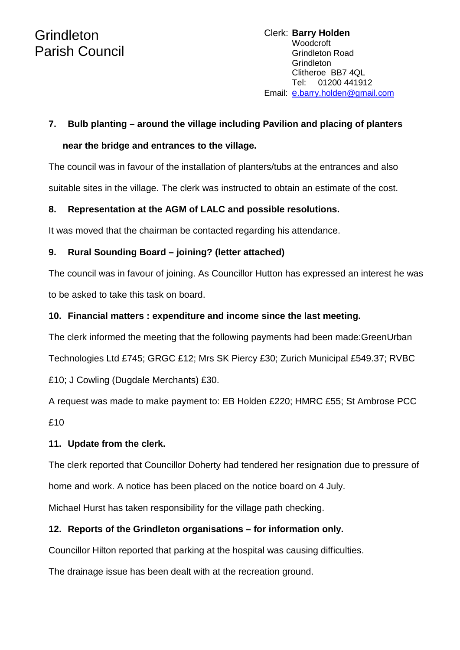# **7. Bulb planting – around the village including Pavilion and placing of planters**

## **near the bridge and entrances to the village.**

The council was in favour of the installation of planters/tubs at the entrances and also suitable sites in the village. The clerk was instructed to obtain an estimate of the cost.

### **8. Representation at the AGM of LALC and possible resolutions.**

It was moved that the chairman be contacted regarding his attendance.

### **9. Rural Sounding Board – joining? (letter attached)**

The council was in favour of joining. As Councillor Hutton has expressed an interest he was to be asked to take this task on board.

### **10. Financial matters : expenditure and income since the last meeting.**

The clerk informed the meeting that the following payments had been made:GreenUrban

Technologies Ltd £745; GRGC £12; Mrs SK Piercy £30; Zurich Municipal £549.37; RVBC

£10; J Cowling (Dugdale Merchants) £30.

A request was made to make payment to: EB Holden £220; HMRC £55; St Ambrose PCC £10

### **11. Update from the clerk.**

The clerk reported that Councillor Doherty had tendered her resignation due to pressure of

home and work. A notice has been placed on the notice board on 4 July.

Michael Hurst has taken responsibility for the village path checking.

### **12. Reports of the Grindleton organisations – for information only.**

Councillor Hilton reported that parking at the hospital was causing difficulties.

The drainage issue has been dealt with at the recreation ground.